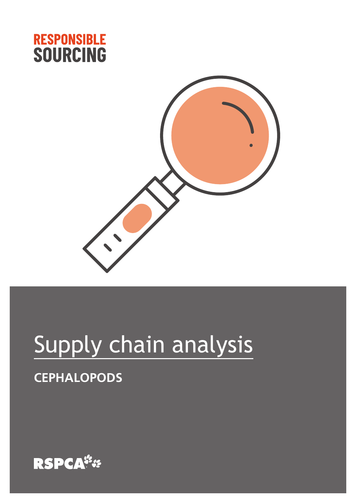



# Supply chain analysis

### **CEPHALOPODS**